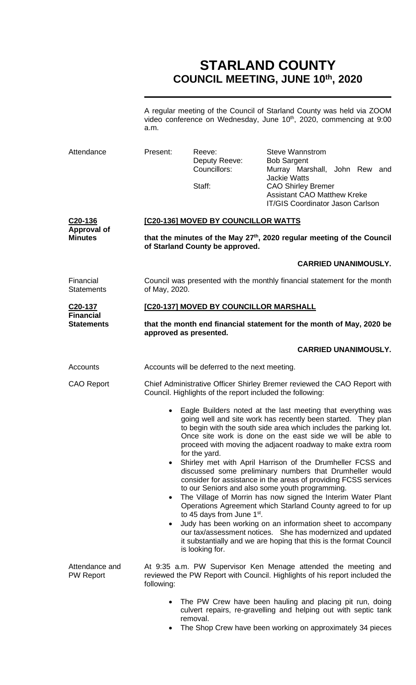# **STARLAND COUNTY COUNCIL MEETING, JUNE 10th, 2020**

A regular meeting of the Council of Starland County was held via ZOOM video conference on Wednesday, June 10<sup>th</sup>, 2020, commencing at 9:00 a.m.

| Attendance                                                   | Present:                                                                                                                                                                                                                                                                                                                                         | Reeve:<br>Deputy Reeve:<br>Councillors: | <b>Steve Wannstrom</b><br><b>Bob Sargent</b><br>Murray Marshall, John Rew and<br><b>Jackie Watts</b>                                                                                                                                         |  |
|--------------------------------------------------------------|--------------------------------------------------------------------------------------------------------------------------------------------------------------------------------------------------------------------------------------------------------------------------------------------------------------------------------------------------|-----------------------------------------|----------------------------------------------------------------------------------------------------------------------------------------------------------------------------------------------------------------------------------------------|--|
|                                                              |                                                                                                                                                                                                                                                                                                                                                  | Staff:                                  | <b>CAO Shirley Bremer</b><br><b>Assistant CAO Matthew Kreke</b><br><b>IT/GIS Coordinator Jason Carlson</b>                                                                                                                                   |  |
| C <sub>20</sub> -136<br><b>Approval of</b><br><b>Minutes</b> | [C20-136] MOVED BY COUNCILLOR WATTS<br>that the minutes of the May 27 <sup>th</sup> , 2020 regular meeting of the Council<br>of Starland County be approved.                                                                                                                                                                                     |                                         |                                                                                                                                                                                                                                              |  |
|                                                              |                                                                                                                                                                                                                                                                                                                                                  |                                         |                                                                                                                                                                                                                                              |  |
| Financial<br><b>Statements</b>                               | Council was presented with the monthly financial statement for the month<br>of May, 2020.                                                                                                                                                                                                                                                        |                                         |                                                                                                                                                                                                                                              |  |
| C <sub>20</sub> -137                                         | [C20-137] MOVED BY COUNCILLOR MARSHALL                                                                                                                                                                                                                                                                                                           |                                         |                                                                                                                                                                                                                                              |  |
| <b>Financial</b><br><b>Statements</b>                        | that the month end financial statement for the month of May, 2020 be<br>approved as presented.                                                                                                                                                                                                                                                   |                                         |                                                                                                                                                                                                                                              |  |
|                                                              |                                                                                                                                                                                                                                                                                                                                                  |                                         | <b>CARRIED UNANIMOUSLY.</b>                                                                                                                                                                                                                  |  |
| Accounts                                                     | Accounts will be deferred to the next meeting.                                                                                                                                                                                                                                                                                                   |                                         |                                                                                                                                                                                                                                              |  |
| <b>CAO Report</b>                                            | Chief Administrative Officer Shirley Bremer reviewed the CAO Report with<br>Council. Highlights of the report included the following:                                                                                                                                                                                                            |                                         |                                                                                                                                                                                                                                              |  |
|                                                              | Eagle Builders noted at the last meeting that everything was<br>going well and site work has recently been started. They plan<br>to begin with the south side area which includes the parking lot.<br>Once site work is done on the east side we will be able to<br>proceed with moving the adjacent roadway to make extra room<br>for the yard. |                                         |                                                                                                                                                                                                                                              |  |
|                                                              | $\bullet$                                                                                                                                                                                                                                                                                                                                        |                                         | Shirley met with April Harrison of the Drumheller FCSS and<br>discussed some preliminary numbers that Drumheller would<br>consider for assistance in the areas of providing FCSS services<br>to our Seniors and also some youth programming. |  |
|                                                              | $\bullet$                                                                                                                                                                                                                                                                                                                                        | to 45 days from June 1 <sup>st</sup> .  | The Village of Morrin has now signed the Interim Water Plant<br>Operations Agreement which Starland County agreed to for up                                                                                                                  |  |
|                                                              | $\bullet$                                                                                                                                                                                                                                                                                                                                        | is looking for.                         | Judy has been working on an information sheet to accompany<br>our tax/assessment notices. She has modernized and updated<br>it substantially and we are hoping that this is the format Council                                               |  |
| Attendance and<br><b>PW Report</b>                           | following:                                                                                                                                                                                                                                                                                                                                       |                                         | At 9:35 a.m. PW Supervisor Ken Menage attended the meeting and<br>reviewed the PW Report with Council. Highlights of his report included the                                                                                                 |  |
|                                                              |                                                                                                                                                                                                                                                                                                                                                  | removal.                                | The PW Crew have been hauling and placing pit run, doing<br>culvert repairs, re-gravelling and helping out with septic tank                                                                                                                  |  |

• The Shop Crew have been working on approximately 34 pieces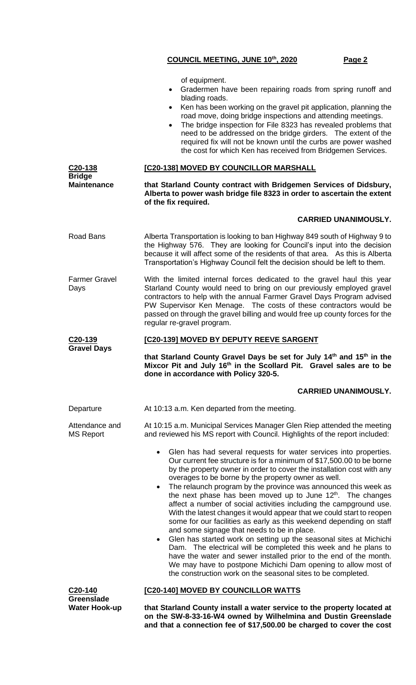|                                     | of equipment.<br>Gradermen have been repairing roads from spring runoff and<br>$\bullet$<br>blading roads.<br>Ken has been working on the gravel pit application, planning the<br>$\bullet$<br>road move, doing bridge inspections and attending meetings.<br>The bridge inspection for File 8323 has revealed problems that<br>$\bullet$<br>need to be addressed on the bridge girders. The extent of the<br>required fix will not be known until the curbs are power washed<br>the cost for which Ken has received from Bridgemen Services.                                                                                                                                                                                                                                                                                                                                                                                                                                                                                                 |  |  |
|-------------------------------------|-----------------------------------------------------------------------------------------------------------------------------------------------------------------------------------------------------------------------------------------------------------------------------------------------------------------------------------------------------------------------------------------------------------------------------------------------------------------------------------------------------------------------------------------------------------------------------------------------------------------------------------------------------------------------------------------------------------------------------------------------------------------------------------------------------------------------------------------------------------------------------------------------------------------------------------------------------------------------------------------------------------------------------------------------|--|--|
| C <sub>20</sub> -138                | [C20-138] MOVED BY COUNCILLOR MARSHALL                                                                                                                                                                                                                                                                                                                                                                                                                                                                                                                                                                                                                                                                                                                                                                                                                                                                                                                                                                                                        |  |  |
| <b>Bridge</b><br><b>Maintenance</b> | that Starland County contract with Bridgemen Services of Didsbury,<br>Alberta to power wash bridge file 8323 in order to ascertain the extent<br>of the fix required.                                                                                                                                                                                                                                                                                                                                                                                                                                                                                                                                                                                                                                                                                                                                                                                                                                                                         |  |  |
|                                     | <b>CARRIED UNANIMOUSLY.</b>                                                                                                                                                                                                                                                                                                                                                                                                                                                                                                                                                                                                                                                                                                                                                                                                                                                                                                                                                                                                                   |  |  |
| Road Bans                           | Alberta Transportation is looking to ban Highway 849 south of Highway 9 to<br>the Highway 576. They are looking for Council's input into the decision<br>because it will affect some of the residents of that area. As this is Alberta<br>Transportation's Highway Council felt the decision should be left to them.                                                                                                                                                                                                                                                                                                                                                                                                                                                                                                                                                                                                                                                                                                                          |  |  |
| <b>Farmer Gravel</b><br>Days        | With the limited internal forces dedicated to the gravel haul this year<br>Starland County would need to bring on our previously employed gravel<br>contractors to help with the annual Farmer Gravel Days Program advised<br>PW Supervisor Ken Menage. The costs of these contractors would be<br>passed on through the gravel billing and would free up county forces for the<br>regular re-gravel program.                                                                                                                                                                                                                                                                                                                                                                                                                                                                                                                                                                                                                                 |  |  |
| C20-139                             | <b>[C20-139] MOVED BY DEPUTY REEVE SARGENT</b>                                                                                                                                                                                                                                                                                                                                                                                                                                                                                                                                                                                                                                                                                                                                                                                                                                                                                                                                                                                                |  |  |
|                                     |                                                                                                                                                                                                                                                                                                                                                                                                                                                                                                                                                                                                                                                                                                                                                                                                                                                                                                                                                                                                                                               |  |  |
| <b>Gravel Days</b>                  | that Starland County Gravel Days be set for July 14 <sup>th</sup> and 15 <sup>th</sup> in the<br>Mixcor Pit and July 16 <sup>th</sup> in the Scollard Pit. Gravel sales are to be<br>done in accordance with Policy 320-5.                                                                                                                                                                                                                                                                                                                                                                                                                                                                                                                                                                                                                                                                                                                                                                                                                    |  |  |
|                                     | <b>CARRIED UNANIMOUSLY.</b>                                                                                                                                                                                                                                                                                                                                                                                                                                                                                                                                                                                                                                                                                                                                                                                                                                                                                                                                                                                                                   |  |  |
| Departure                           | At 10:13 a.m. Ken departed from the meeting.                                                                                                                                                                                                                                                                                                                                                                                                                                                                                                                                                                                                                                                                                                                                                                                                                                                                                                                                                                                                  |  |  |
| Attendance and<br><b>MS Report</b>  | At 10:15 a.m. Municipal Services Manager Glen Riep attended the meeting<br>and reviewed his MS report with Council. Highlights of the report included:                                                                                                                                                                                                                                                                                                                                                                                                                                                                                                                                                                                                                                                                                                                                                                                                                                                                                        |  |  |
|                                     | Glen has had several requests for water services into properties.<br>Our current fee structure is for a minimum of \$17,500.00 to be borne<br>by the property owner in order to cover the installation cost with any<br>overages to be borne by the property owner as well.<br>The relaunch program by the province was announced this week as<br>the next phase has been moved up to June 12 <sup>th</sup> . The changes<br>affect a number of social activities including the campground use.<br>With the latest changes it would appear that we could start to reopen<br>some for our facilities as early as this weekend depending on staff<br>and some signage that needs to be in place.<br>Glen has started work on setting up the seasonal sites at Michichi<br>Dam. The electrical will be completed this week and he plans to<br>have the water and sewer installed prior to the end of the month.<br>We may have to postpone Michichi Dam opening to allow most of<br>the construction work on the seasonal sites to be completed. |  |  |
| C20-140<br><b>Greenslade</b>        | <b>[C20-140] MOVED BY COUNCILLOR WATTS</b>                                                                                                                                                                                                                                                                                                                                                                                                                                                                                                                                                                                                                                                                                                                                                                                                                                                                                                                                                                                                    |  |  |

**and that a connection fee of \$17,500.00 be charged to cover the cost**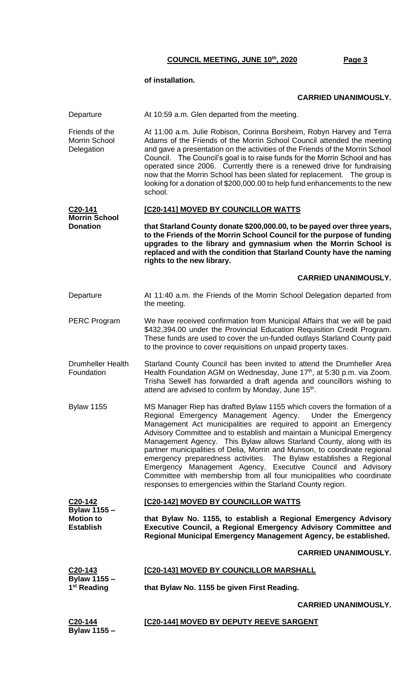#### **of installation.**

**Bylaw 1155 –**

### **CARRIED UNANIMOUSLY.**

Departure At 10:59 a.m. Glen departed from the meeting. Friends of the Morrin School **Delegation** At 11:00 a.m. Julie Robison, Corinna Borsheim, Robyn Harvey and Terra Adams of the Friends of the Morrin School Council attended the meeting and gave a presentation on the activities of the Friends of the Morrin School Council. The Council's goal is to raise funds for the Morrin School and has operated since 2006. Currently there is a renewed drive for fundraising now that the Morrin School has been slated for replacement. The group is looking for a donation of \$200,000.00 to help fund enhancements to the new school. **C20-141 Morrin School Donation [C20-141] MOVED BY COUNCILLOR WATTS that Starland County donate \$200,000.00, to be payed over three years, to the Friends of the Morrin School Council for the purpose of funding upgrades to the library and gymnasium when the Morrin School is replaced and with the condition that Starland County have the naming rights to the new library. CARRIED UNANIMOUSLY.** Departure **At 11:40 a.m. the Friends of the Morrin School Delegation departed from** the meeting. PERC Program We have received confirmation from Municipal Affairs that we will be paid \$432,394.00 under the Provincial Education Requisition Credit Program. These funds are used to cover the un-funded outlays Starland County paid to the province to cover requisitions on unpaid property taxes. Drumheller Health Foundation Starland County Council has been invited to attend the Drumheller Area Health Foundation AGM on Wednesday, June 17<sup>th</sup>, at 5:30 p.m. via Zoom. Trisha Sewell has forwarded a draft agenda and councillors wishing to attend are advised to confirm by Monday, June 15<sup>th</sup>. Bylaw 1155 MS Manager Riep has drafted Bylaw 1155 which covers the formation of a Regional Emergency Management Agency. Under the Emergency Management Act municipalities are required to appoint an Emergency Advisory Committee and to establish and maintain a Municipal Emergency Management Agency. This Bylaw allows Starland County, along with its partner municipalities of Delia, Morrin and Munson, to coordinate regional emergency preparedness activities. The Bylaw establishes a Regional Emergency Management Agency, Executive Council and Advisory Committee with membership from all four municipalities who coordinate responses to emergencies within the Starland County region. **C20-142 Bylaw 1155 – Motion to Establish [C20-142] MOVED BY COUNCILLOR WATTS that Bylaw No. 1155, to establish a Regional Emergency Advisory Executive Council, a Regional Emergency Advisory Committee and Regional Municipal Emergency Management Agency, be established. CARRIED UNANIMOUSLY. C20-143 Bylaw 1155 – 1 st Reading [C20-143] MOVED BY COUNCILLOR MARSHALL that Bylaw No. 1155 be given First Reading. CARRIED UNANIMOUSLY. C20-144 [C20-144] MOVED BY DEPUTY REEVE SARGENT**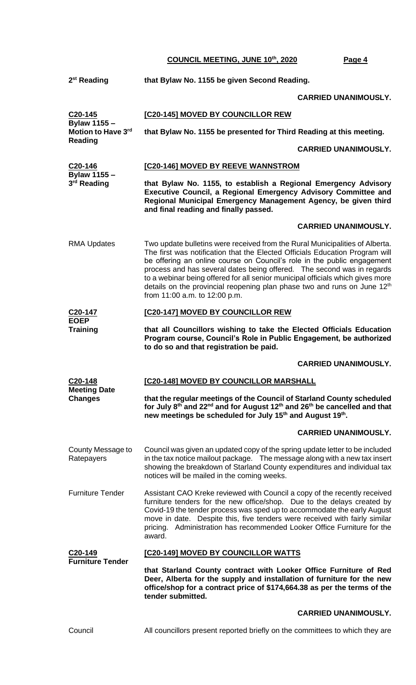| 2 <sup>st</sup> Reading                              | that Bylaw No. 1155 be given Second Reading.                                                                                                                                                                                                                                                                                                                                                                                                                                                                                 |  |  |  |
|------------------------------------------------------|------------------------------------------------------------------------------------------------------------------------------------------------------------------------------------------------------------------------------------------------------------------------------------------------------------------------------------------------------------------------------------------------------------------------------------------------------------------------------------------------------------------------------|--|--|--|
|                                                      | <b>CARRIED UNANIMOUSLY.</b>                                                                                                                                                                                                                                                                                                                                                                                                                                                                                                  |  |  |  |
| $C20 - 145$                                          | [C20-145] MOVED BY COUNCILLOR REW                                                                                                                                                                                                                                                                                                                                                                                                                                                                                            |  |  |  |
| <b>Bylaw 1155 -</b><br>Motion to Have 3rd<br>Reading | that Bylaw No. 1155 be presented for Third Reading at this meeting.                                                                                                                                                                                                                                                                                                                                                                                                                                                          |  |  |  |
|                                                      | <b>CARRIED UNANIMOUSLY.</b>                                                                                                                                                                                                                                                                                                                                                                                                                                                                                                  |  |  |  |
| C20-146<br><b>Bylaw 1155 -</b>                       | [C20-146] MOVED BY REEVE WANNSTROM                                                                                                                                                                                                                                                                                                                                                                                                                                                                                           |  |  |  |
| 3 <sup>rd</sup> Reading                              | that Bylaw No. 1155, to establish a Regional Emergency Advisory<br>Executive Council, a Regional Emergency Advisory Committee and<br>Regional Municipal Emergency Management Agency, be given third<br>and final reading and finally passed.                                                                                                                                                                                                                                                                                 |  |  |  |
|                                                      | <b>CARRIED UNANIMOUSLY.</b>                                                                                                                                                                                                                                                                                                                                                                                                                                                                                                  |  |  |  |
| <b>RMA Updates</b>                                   | Two update bulletins were received from the Rural Municipalities of Alberta.<br>The first was notification that the Elected Officials Education Program will<br>be offering an online course on Council's role in the public engagement<br>process and has several dates being offered. The second was in regards<br>to a webinar being offered for all senior municipal officials which gives more<br>details on the provincial reopening plan phase two and runs on June 12 <sup>th</sup><br>from 11:00 a.m. to 12:00 p.m. |  |  |  |
| C <sub>20</sub> -147                                 | [C20-147] MOVED BY COUNCILLOR REW                                                                                                                                                                                                                                                                                                                                                                                                                                                                                            |  |  |  |
| <b>EOEP</b><br><b>Training</b>                       | that all Councillors wishing to take the Elected Officials Education<br>Program course, Council's Role in Public Engagement, be authorized<br>to do so and that registration be paid.                                                                                                                                                                                                                                                                                                                                        |  |  |  |
|                                                      | <b>CARRIED UNANIMOUSLY.</b>                                                                                                                                                                                                                                                                                                                                                                                                                                                                                                  |  |  |  |
| C20-148<br><b>Meeting Date</b><br><b>Changes</b>     | [C20-148] MOVED BY COUNCILLOR MARSHALL                                                                                                                                                                                                                                                                                                                                                                                                                                                                                       |  |  |  |
|                                                      | that the regular meetings of the Council of Starland County scheduled<br>for July 8th and 22 <sup>nd</sup> and for August 12th and 26th be cancelled and that<br>new meetings be scheduled for July 15 <sup>th</sup> and August 19 <sup>th</sup> .                                                                                                                                                                                                                                                                           |  |  |  |
|                                                      | <b>CARRIED UNANIMOUSLY.</b>                                                                                                                                                                                                                                                                                                                                                                                                                                                                                                  |  |  |  |
| County Message to<br>Ratepayers                      | Council was given an updated copy of the spring update letter to be included<br>in the tax notice mailout package. The message along with a new tax insert<br>showing the breakdown of Starland County expenditures and individual tax<br>notices will be mailed in the coming weeks.                                                                                                                                                                                                                                        |  |  |  |
|                                                      |                                                                                                                                                                                                                                                                                                                                                                                                                                                                                                                              |  |  |  |
| <b>Furniture Tender</b>                              | Assistant CAO Kreke reviewed with Council a copy of the recently received<br>furniture tenders for the new office/shop. Due to the delays created by<br>Covid-19 the tender process was sped up to accommodate the early August<br>move in date. Despite this, five tenders were received with fairly similar<br>pricing. Administration has recommended Looker Office Furniture for the<br>award.                                                                                                                           |  |  |  |
| C <sub>20</sub> -149                                 | [C20-149] MOVED BY COUNCILLOR WATTS                                                                                                                                                                                                                                                                                                                                                                                                                                                                                          |  |  |  |
| <b>Furniture Tender</b>                              | that Starland County contract with Looker Office Furniture of Red<br>Deer, Alberta for the supply and installation of furniture for the new<br>office/shop for a contract price of \$174,664.38 as per the terms of the<br>tender submitted.                                                                                                                                                                                                                                                                                 |  |  |  |
|                                                      | <b>CARRIED UNANIMOUSLY.</b>                                                                                                                                                                                                                                                                                                                                                                                                                                                                                                  |  |  |  |